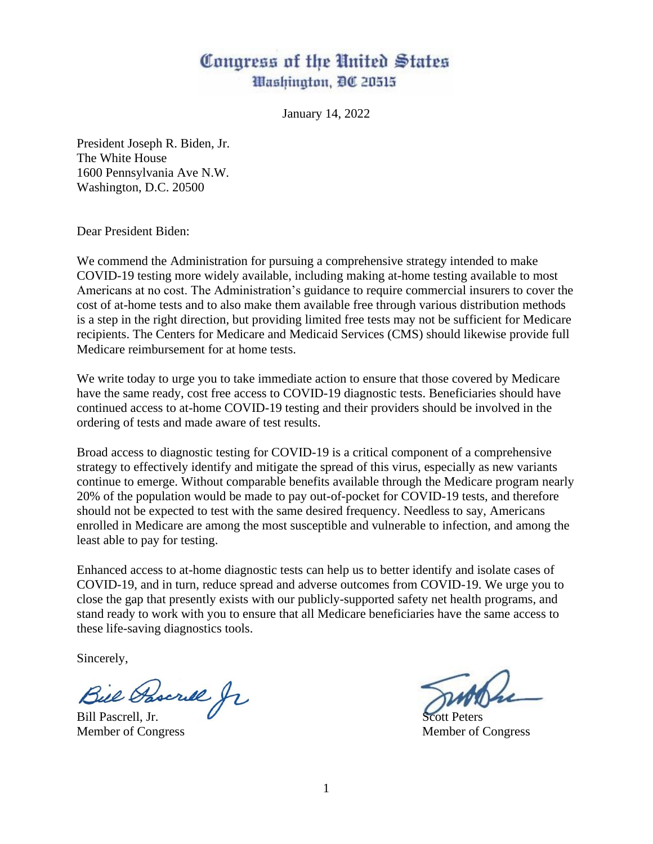## Congress of the United States *Washington, DC 20515*

January 14, 2022

President Joseph R. Biden, Jr. The White House 1600 Pennsylvania Ave N.W. Washington, D.C. 20500

Dear President Biden:

We commend the Administration for pursuing a comprehensive strategy intended to make COVID-19 testing more widely available, including making at-home testing available to most Americans at no cost. The Administration's guidance to require commercial insurers to cover the cost of at-home tests and to also make them available free through various distribution methods is a step in the right direction, but providing limited free tests may not be sufficient for Medicare recipients. The Centers for Medicare and Medicaid Services (CMS) should likewise provide full Medicare reimbursement for at home tests.

We write today to urge you to take immediate action to ensure that those covered by Medicare have the same ready, cost free access to COVID-19 diagnostic tests. Beneficiaries should have continued access to at-home COVID-19 testing and their providers should be involved in the ordering of tests and made aware of test results.

Broad access to diagnostic testing for COVID-19 is a critical component of a comprehensive strategy to effectively identify and mitigate the spread of this virus, especially as new variants continue to emerge. Without comparable benefits available through the Medicare program nearly 20% of the population would be made to pay out-of-pocket for COVID-19 tests, and therefore should not be expected to test with the same desired frequency. Needless to say, Americans enrolled in Medicare are among the most susceptible and vulnerable to infection, and among the least able to pay for testing.

Enhanced access to at-home diagnostic tests can help us to better identify and isolate cases of COVID-19, and in turn, reduce spread and adverse outcomes from COVID-19. We urge you to close the gap that presently exists with our publicly-supported safety net health programs, and stand ready to work with you to ensure that all Medicare beneficiaries have the same access to these life-saving diagnostics tools.

Sincerely,

Bill Pascrill fr

Member of Congress Member of Congress